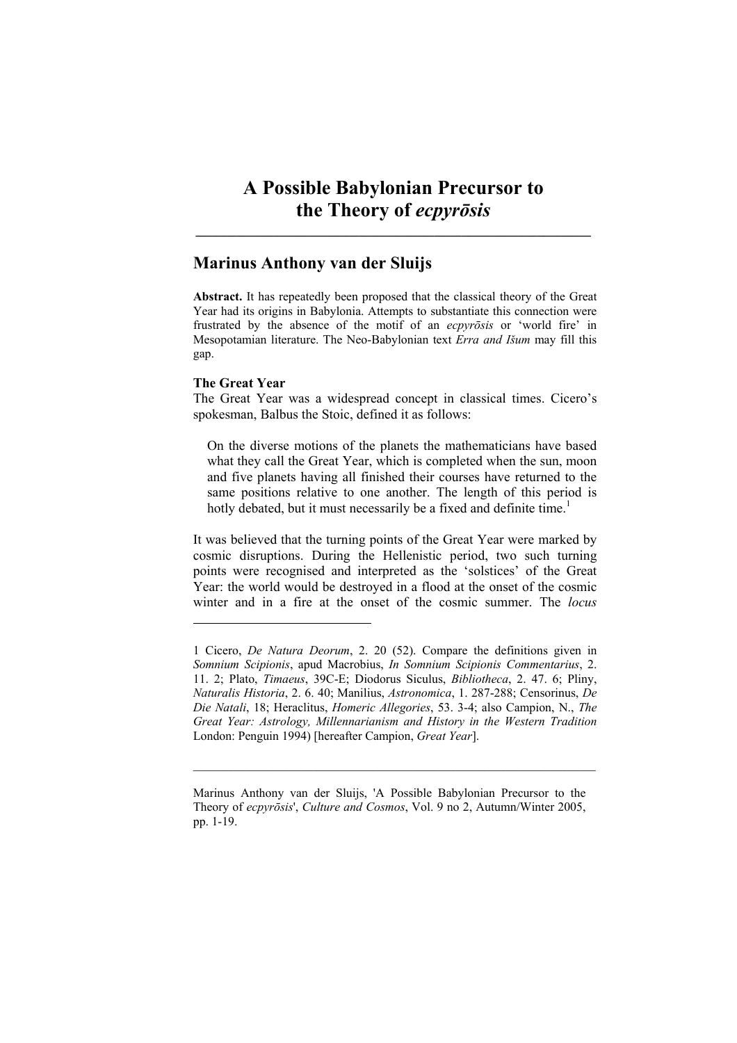**\_\_\_\_\_\_\_\_\_\_\_\_\_\_\_\_\_\_\_\_\_\_\_\_\_\_\_\_\_\_\_\_\_\_\_\_\_\_\_\_\_\_\_\_\_\_\_\_\_\_\_\_\_\_\_\_\_\_** 

# **Marinus Anthony van der Sluijs**

**Abstract.** It has repeatedly been proposed that the classical theory of the Great Year had its origins in Babylonia. Attempts to substantiate this connection were frustrated by the absence of the motif of an *ecpyrōsis* or 'world fire' in Mesopotamian literature. The Neo-Babylonian text *Erra and Išum* may fill this gap.

# **The Great Year**

l

The Great Year was a widespread concept in classical times. Cicero's spokesman, Balbus the Stoic, defined it as follows:

On the diverse motions of the planets the mathematicians have based what they call the Great Year, which is completed when the sun, moon and five planets having all finished their courses have returned to the same positions relative to one another. The length of this period is hotly debated, but it must necessarily be a fixed and definite time.<sup>1</sup>

It was believed that the turning points of the Great Year were marked by cosmic disruptions. During the Hellenistic period, two such turning points were recognised and interpreted as the 'solstices' of the Great Year: the world would be destroyed in a flood at the onset of the cosmic winter and in a fire at the onset of the cosmic summer. The *locus* 

 $\mathcal{L}_\text{max} = \frac{1}{2} \sum_{i=1}^n \mathcal{L}_\text{max}(\mathbf{z}_i - \mathbf{z}_i)$ 

<sup>1</sup> Cicero, *De Natura Deorum*, 2. 20 (52). Compare the definitions given in *Somnium Scipionis*, apud Macrobius, *In Somnium Scipionis Commentarius*, 2. 11. 2; Plato, *Timaeus*, 39C-E; Diodorus Siculus, *Bibliotheca*, 2. 47. 6; Pliny, *Naturalis Historia*, 2. 6. 40; Manilius, *Astronomica*, 1. 287-288; Censorinus, *De Die Natali*, 18; Heraclitus, *Homeric Allegories*, 53. 3-4; also Campion, N., *The Great Year: Astrology, Millennarianism and History in the Western Tradition* London: Penguin 1994) [hereafter Campion, *Great Year*].

Marinus Anthony van der Sluijs, 'A Possible Babylonian Precursor to the Theory of *ecpyrōsis*', *Culture and Cosmos*, Vol. 9 no 2, Autumn/Winter 2005, pp. 1-19.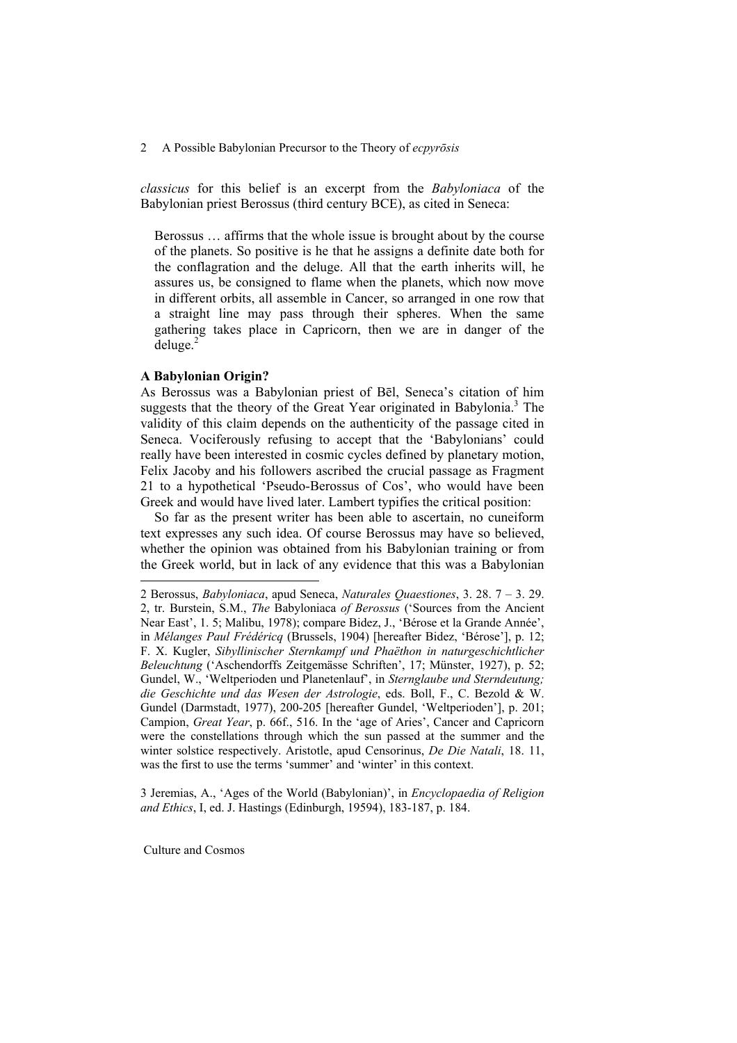*classicus* for this belief is an excerpt from the *Babyloniaca* of the Babylonian priest Berossus (third century BCE), as cited in Seneca:

Berossus … affirms that the whole issue is brought about by the course of the planets. So positive is he that he assigns a definite date both for the conflagration and the deluge. All that the earth inherits will, he assures us, be consigned to flame when the planets, which now move in different orbits, all assemble in Cancer, so arranged in one row that a straight line may pass through their spheres. When the same gathering takes place in Capricorn, then we are in danger of the  $deluse.<sup>2</sup>$ 

# **A Babylonian Origin?**

As Berossus was a Babylonian priest of Bēl, Seneca's citation of him suggests that the theory of the Great Year originated in Babylonia.<sup>3</sup> The validity of this claim depends on the authenticity of the passage cited in Seneca. Vociferously refusing to accept that the 'Babylonians' could really have been interested in cosmic cycles defined by planetary motion, Felix Jacoby and his followers ascribed the crucial passage as Fragment 21 to a hypothetical 'Pseudo-Berossus of Cos', who would have been Greek and would have lived later. Lambert typifies the critical position:

So far as the present writer has been able to ascertain, no cuneiform text expresses any such idea. Of course Berossus may have so believed, whether the opinion was obtained from his Babylonian training or from the Greek world, but in lack of any evidence that this was a Babylonian l

3 Jeremias, A., 'Ages of the World (Babylonian)', in *Encyclopaedia of Religion and Ethics*, I, ed. J. Hastings (Edinburgh, 19594), 183-187, p. 184.

<sup>2</sup> Berossus, *Babyloniaca*, apud Seneca, *Naturales Quaestiones*, 3. 28. 7 – 3. 29. 2, tr. Burstein, S.M., *The* Babyloniaca *of Berossus* ('Sources from the Ancient Near East', 1. 5; Malibu, 1978); compare Bidez, J., 'Bérose et la Grande Année', in *Mélanges Paul Frédéricq* (Brussels, 1904) [hereafter Bidez, 'Bérose'], p. 12; F. X. Kugler, *Sibyllinischer Sternkampf und Phaëthon in naturgeschichtlicher Beleuchtung* ('Aschendorffs Zeitgemässe Schriften', 17; Münster, 1927), p. 52; Gundel, W., 'Weltperioden und Planetenlauf', in *Sternglaube und Sterndeutung; die Geschichte und das Wesen der Astrologie*, eds. Boll, F., C. Bezold & W. Gundel (Darmstadt, 1977), 200-205 [hereafter Gundel, 'Weltperioden'], p. 201; Campion, *Great Year*, p. 66f., 516. In the 'age of Aries', Cancer and Capricorn were the constellations through which the sun passed at the summer and the winter solstice respectively. Aristotle, apud Censorinus, *De Die Natali*, 18. 11, was the first to use the terms 'summer' and 'winter' in this context.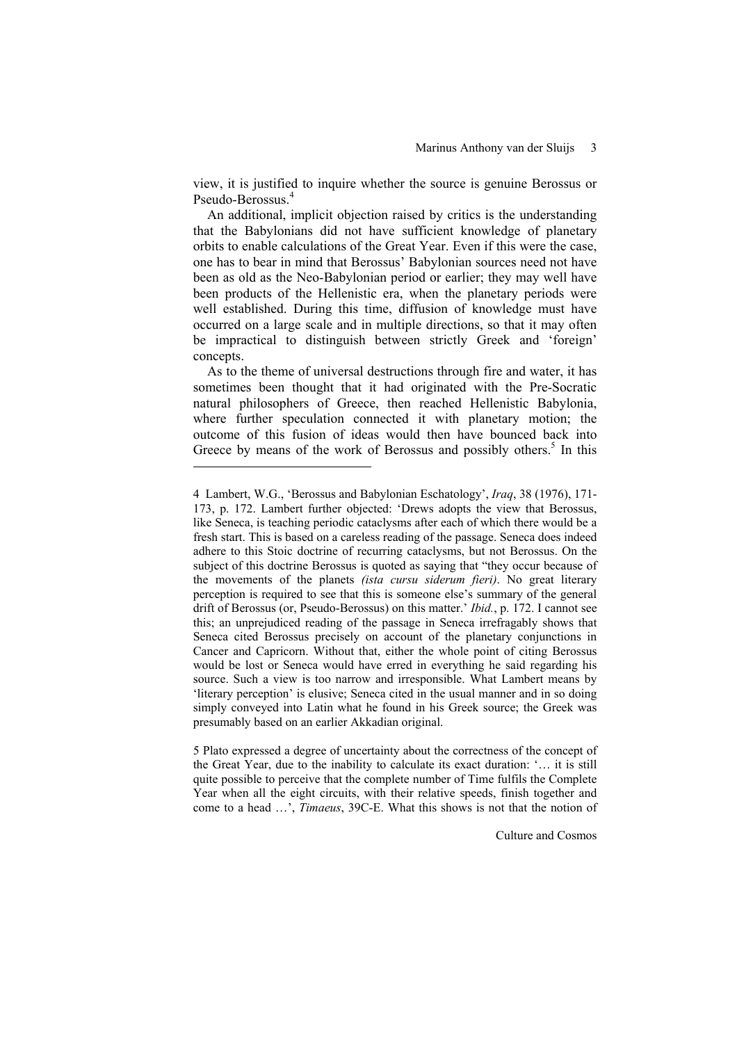view, it is justified to inquire whether the source is genuine Berossus or Pseudo-Berossus.<sup>4</sup>

An additional, implicit objection raised by critics is the understanding that the Babylonians did not have sufficient knowledge of planetary orbits to enable calculations of the Great Year. Even if this were the case, one has to bear in mind that Berossus' Babylonian sources need not have been as old as the Neo-Babylonian period or earlier; they may well have been products of the Hellenistic era, when the planetary periods were well established. During this time, diffusion of knowledge must have occurred on a large scale and in multiple directions, so that it may often be impractical to distinguish between strictly Greek and 'foreign' concepts.

As to the theme of universal destructions through fire and water, it has sometimes been thought that it had originated with the Pre-Socratic natural philosophers of Greece, then reached Hellenistic Babylonia, where further speculation connected it with planetary motion; the outcome of this fusion of ideas would then have bounced back into Greece by means of the work of Berossus and possibly others.<sup>5</sup> In this

l

5 Plato expressed a degree of uncertainty about the correctness of the concept of the Great Year, due to the inability to calculate its exact duration: '… it is still quite possible to perceive that the complete number of Time fulfils the Complete Year when all the eight circuits, with their relative speeds, finish together and come to a head …', *Timaeus*, 39C-E. What this shows is not that the notion of

<sup>4</sup> Lambert, W.G., 'Berossus and Babylonian Eschatology', *Iraq*, 38 (1976), 171- 173, p. 172. Lambert further objected: 'Drews adopts the view that Berossus, like Seneca, is teaching periodic cataclysms after each of which there would be a fresh start. This is based on a careless reading of the passage. Seneca does indeed adhere to this Stoic doctrine of recurring cataclysms, but not Berossus. On the subject of this doctrine Berossus is quoted as saying that "they occur because of the movements of the planets *(ista cursu siderum fieri)*. No great literary perception is required to see that this is someone else's summary of the general drift of Berossus (or, Pseudo-Berossus) on this matter.' *Ibid.*, p. 172. I cannot see this; an unprejudiced reading of the passage in Seneca irrefragably shows that Seneca cited Berossus precisely on account of the planetary conjunctions in Cancer and Capricorn. Without that, either the whole point of citing Berossus would be lost or Seneca would have erred in everything he said regarding his source. Such a view is too narrow and irresponsible. What Lambert means by 'literary perception' is elusive; Seneca cited in the usual manner and in so doing simply conveyed into Latin what he found in his Greek source; the Greek was presumably based on an earlier Akkadian original.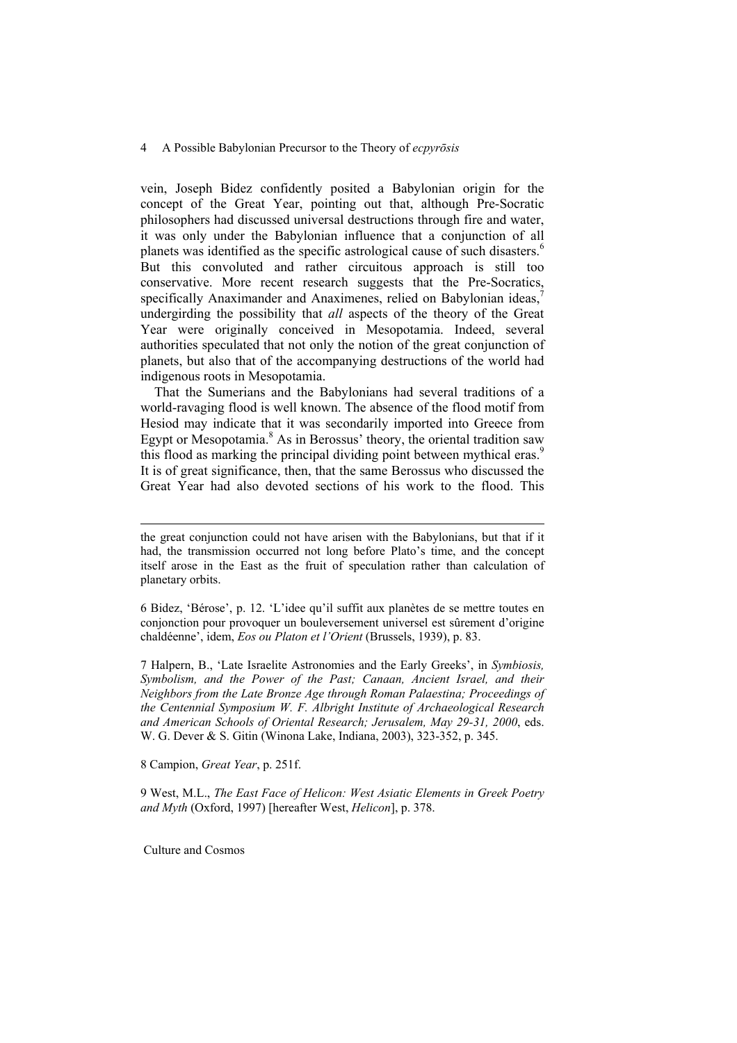vein, Joseph Bidez confidently posited a Babylonian origin for the concept of the Great Year, pointing out that, although Pre-Socratic philosophers had discussed universal destructions through fire and water, it was only under the Babylonian influence that a conjunction of all planets was identified as the specific astrological cause of such disasters.<sup>6</sup> But this convoluted and rather circuitous approach is still too conservative. More recent research suggests that the Pre-Socratics, specifically Anaximander and Anaximenes, relied on Babylonian ideas, undergirding the possibility that *all* aspects of the theory of the Great Year were originally conceived in Mesopotamia. Indeed, several authorities speculated that not only the notion of the great conjunction of planets, but also that of the accompanying destructions of the world had indigenous roots in Mesopotamia.

That the Sumerians and the Babylonians had several traditions of a world-ravaging flood is well known. The absence of the flood motif from Hesiod may indicate that it was secondarily imported into Greece from Egypt or Mesopotamia.<sup>8</sup> As in Berossus' theory, the oriental tradition saw this flood as marking the principal dividing point between mythical eras.<sup>9</sup> It is of great significance, then, that the same Berossus who discussed the Great Year had also devoted sections of his work to the flood. This

6 Bidez, 'Bérose', p. 12. 'L'idee qu'il suffit aux planètes de se mettre toutes en conjonction pour provoquer un bouleversement universel est sûrement d'origine chaldéenne', idem, *Eos ou Platon et l'Orient* (Brussels, 1939), p. 83.

7 Halpern, B., 'Late Israelite Astronomies and the Early Greeks', in *Symbiosis, Symbolism, and the Power of the Past; Canaan, Ancient Israel, and their Neighbors from the Late Bronze Age through Roman Palaestina; Proceedings of the Centennial Symposium W. F. Albright Institute of Archaeological Research and American Schools of Oriental Research; Jerusalem, May 29-31, 2000*, eds. W. G. Dever & S. Gitin (Winona Lake, Indiana, 2003), 323-352, p. 345.

8 Campion, *Great Year*, p. 251f.

9 West, M.L., *The East Face of Helicon: West Asiatic Elements in Greek Poetry and Myth* (Oxford, 1997) [hereafter West, *Helicon*], p. 378.

Culture and Cosmos

the great conjunction could not have arisen with the Babylonians, but that if it had, the transmission occurred not long before Plato's time, and the concept itself arose in the East as the fruit of speculation rather than calculation of planetary orbits.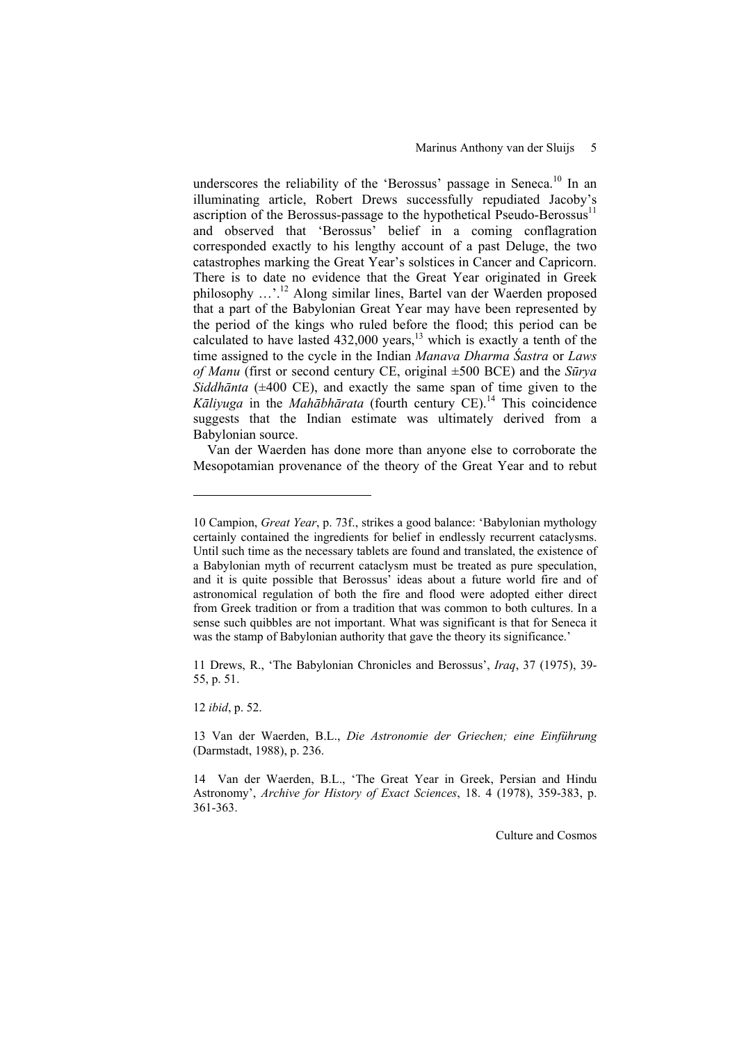underscores the reliability of the 'Berossus' passage in Seneca.<sup>10</sup> In an illuminating article, Robert Drews successfully repudiated Jacoby's ascription of the Berossus-passage to the hypothetical Pseudo-Berossus $^{11}$ and observed that 'Berossus' belief in a coming conflagration corresponded exactly to his lengthy account of a past Deluge, the two catastrophes marking the Great Year's solstices in Cancer and Capricorn. There is to date no evidence that the Great Year originated in Greek philosophy …'.12 Along similar lines, Bartel van der Waerden proposed that a part of the Babylonian Great Year may have been represented by the period of the kings who ruled before the flood; this period can be calculated to have lasted  $432,000$  years,<sup>13</sup> which is exactly a tenth of the time assigned to the cycle in the Indian *Manava Dharma Śastra* or *Laws of Manu* (first or second century CE, original ±500 BCE) and the *Sūrya Siddhānta* (±400 CE), and exactly the same span of time given to the *Kāliyuga* in the *Mahābhārata* (fourth century CE).14 This coincidence suggests that the Indian estimate was ultimately derived from a Babylonian source.

Van der Waerden has done more than anyone else to corroborate the Mesopotamian provenance of the theory of the Great Year and to rebut

11 Drews, R., 'The Babylonian Chronicles and Berossus', *Iraq*, 37 (1975), 39- 55, p. 51.

12 *ibid*, p. 52.

l

<sup>10</sup> Campion, *Great Year*, p. 73f., strikes a good balance: 'Babylonian mythology certainly contained the ingredients for belief in endlessly recurrent cataclysms. Until such time as the necessary tablets are found and translated, the existence of a Babylonian myth of recurrent cataclysm must be treated as pure speculation, and it is quite possible that Berossus' ideas about a future world fire and of astronomical regulation of both the fire and flood were adopted either direct from Greek tradition or from a tradition that was common to both cultures. In a sense such quibbles are not important. What was significant is that for Seneca it was the stamp of Babylonian authority that gave the theory its significance.'

<sup>13</sup> Van der Waerden, B.L., *Die Astronomie der Griechen; eine Einführung* (Darmstadt, 1988), p. 236.

<sup>14</sup> Van der Waerden, B.L., 'The Great Year in Greek, Persian and Hindu Astronomy', *Archive for History of Exact Sciences*, 18. 4 (1978), 359-383, p. 361-363.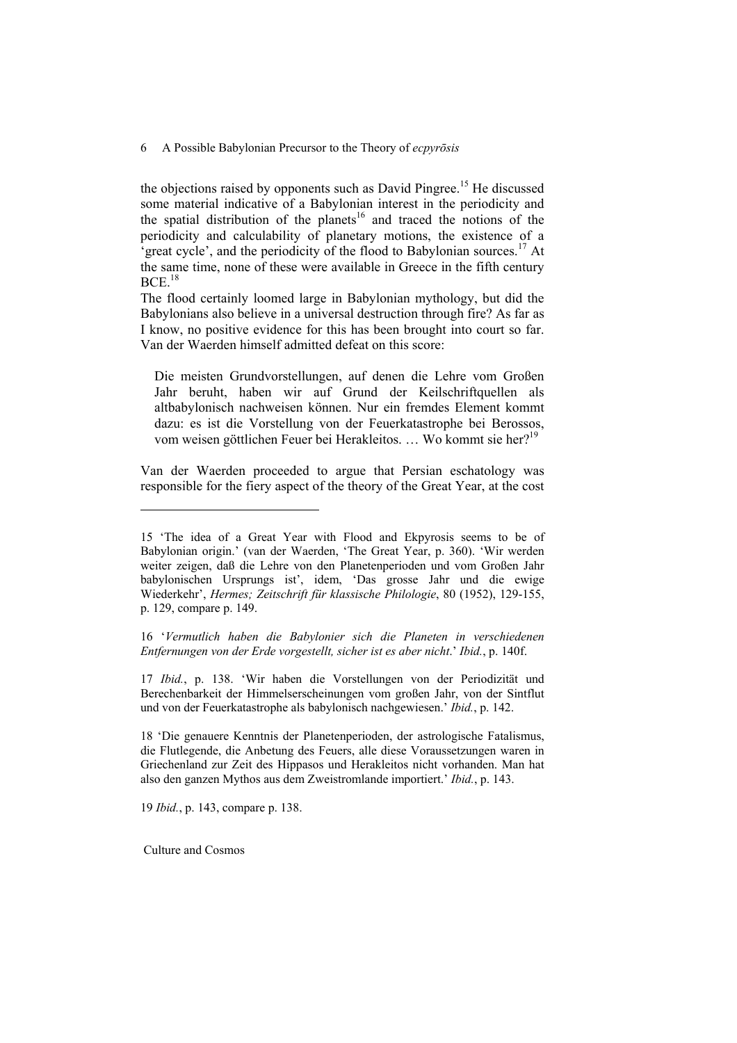the objections raised by opponents such as David Pingree.<sup>15</sup> He discussed some material indicative of a Babylonian interest in the periodicity and the spatial distribution of the planets<sup>16</sup> and traced the notions of the periodicity and calculability of planetary motions, the existence of a  $^{2}$ great cycle', and the periodicity of the flood to Babylonian sources.<sup>17</sup> At the same time, none of these were available in Greece in the fifth century  $BCE$ <sup>18</sup>

The flood certainly loomed large in Babylonian mythology, but did the Babylonians also believe in a universal destruction through fire? As far as I know, no positive evidence for this has been brought into court so far. Van der Waerden himself admitted defeat on this score:

Die meisten Grundvorstellungen, auf denen die Lehre vom Großen Jahr beruht, haben wir auf Grund der Keilschriftquellen als altbabylonisch nachweisen können. Nur ein fremdes Element kommt dazu: es ist die Vorstellung von der Feuerkatastrophe bei Berossos, vom weisen göttlichen Feuer bei Herakleitos. ... Wo kommt sie her?<sup>19</sup>

Van der Waerden proceeded to argue that Persian eschatology was responsible for the fiery aspect of the theory of the Great Year, at the cost

16 '*Vermutlich haben die Babylonier sich die Planeten in verschiedenen Entfernungen von der Erde vorgestellt, sicher ist es aber nicht*.' *Ibid.*, p. 140f.

17 *Ibid.*, p. 138. 'Wir haben die Vorstellungen von der Periodizität und Berechenbarkeit der Himmelserscheinungen vom großen Jahr, von der Sintflut und von der Feuerkatastrophe als babylonisch nachgewiesen.' *Ibid.*, p. 142.

18 'Die genauere Kenntnis der Planetenperioden, der astrologische Fatalismus, die Flutlegende, die Anbetung des Feuers, alle diese Voraussetzungen waren in Griechenland zur Zeit des Hippasos und Herakleitos nicht vorhanden. Man hat also den ganzen Mythos aus dem Zweistromlande importiert.' *Ibid.*, p. 143.

19 *Ibid.*, p. 143, compare p. 138.

Culture and Cosmos

<sup>15 &#</sup>x27;The idea of a Great Year with Flood and Ekpyrosis seems to be of Babylonian origin.' (van der Waerden, 'The Great Year, p. 360). 'Wir werden weiter zeigen, daß die Lehre von den Planetenperioden und vom Großen Jahr babylonischen Ursprungs ist', idem, 'Das grosse Jahr und die ewige Wiederkehr', *Hermes; Zeitschrift für klassische Philologie*, 80 (1952), 129-155, p. 129, compare p. 149.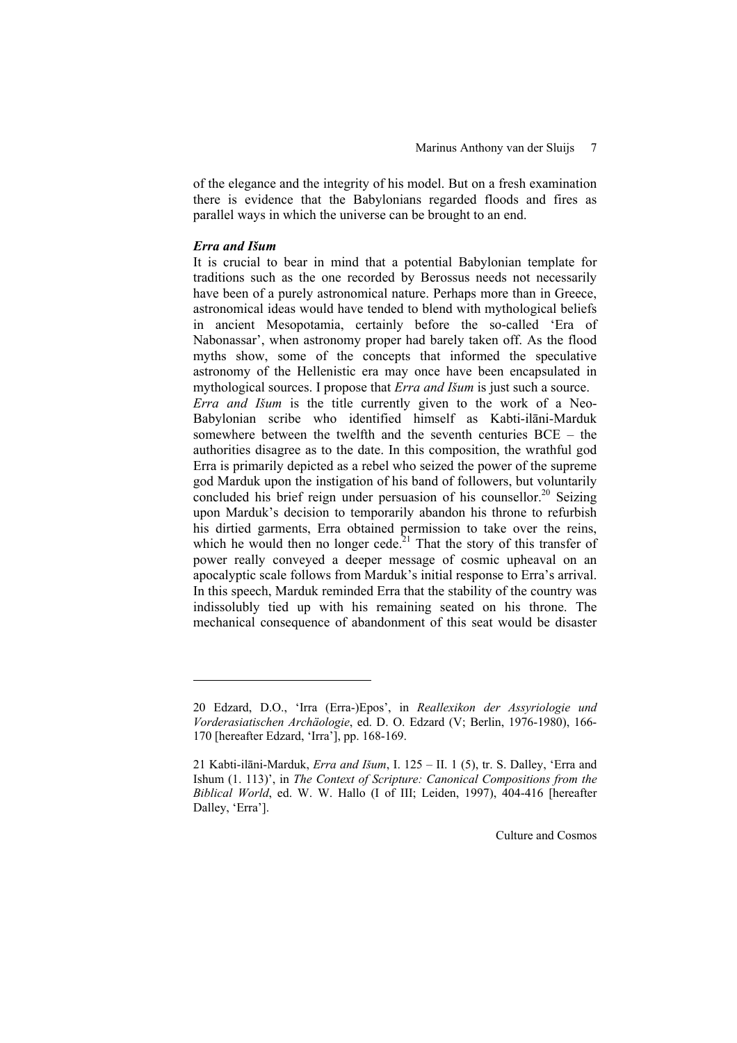of the elegance and the integrity of his model. But on a fresh examination there is evidence that the Babylonians regarded floods and fires as parallel ways in which the universe can be brought to an end.

# *Erra and Išum*

l

It is crucial to bear in mind that a potential Babylonian template for traditions such as the one recorded by Berossus needs not necessarily have been of a purely astronomical nature. Perhaps more than in Greece, astronomical ideas would have tended to blend with mythological beliefs in ancient Mesopotamia, certainly before the so-called 'Era of Nabonassar', when astronomy proper had barely taken off. As the flood myths show, some of the concepts that informed the speculative astronomy of the Hellenistic era may once have been encapsulated in mythological sources. I propose that *Erra and Išum* is just such a source. *Erra and Išum* is the title currently given to the work of a Neo-Babylonian scribe who identified himself as Kabti-ilāni-Marduk somewhere between the twelfth and the seventh centuries BCE – the authorities disagree as to the date. In this composition, the wrathful god Erra is primarily depicted as a rebel who seized the power of the supreme god Marduk upon the instigation of his band of followers, but voluntarily concluded his brief reign under persuasion of his counsellor.<sup>20</sup> Seizing upon Marduk's decision to temporarily abandon his throne to refurbish his dirtied garments, Erra obtained permission to take over the reins, which he would then no longer cede.<sup>21</sup> That the story of this transfer of power really conveyed a deeper message of cosmic upheaval on an apocalyptic scale follows from Marduk's initial response to Erra's arrival. In this speech, Marduk reminded Erra that the stability of the country was indissolubly tied up with his remaining seated on his throne. The mechanical consequence of abandonment of this seat would be disaster

<sup>20</sup> Edzard, D.O., 'Irra (Erra-)Epos', in *Reallexikon der Assyriologie und Vorderasiatischen Archäologie*, ed. D. O. Edzard (V; Berlin, 1976-1980), 166- 170 [hereafter Edzard, 'Irra'], pp. 168-169.

<sup>21</sup> Kabti-ilāni-Marduk, *Erra and Išum*, I. 125 – II. 1 (5), tr. S. Dalley, 'Erra and Ishum (1. 113)', in *The Context of Scripture: Canonical Compositions from the Biblical World*, ed. W. W. Hallo (I of III; Leiden, 1997), 404-416 [hereafter Dalley, 'Erra'].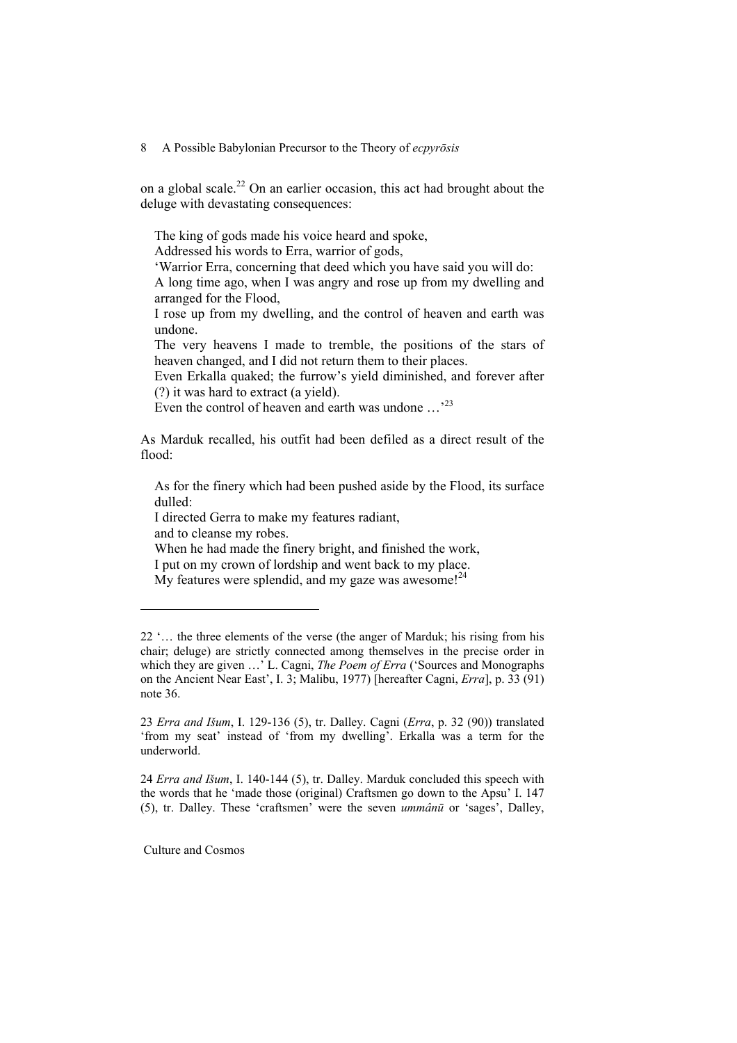on a global scale.<sup>22</sup> On an earlier occasion, this act had brought about the deluge with devastating consequences:

The king of gods made his voice heard and spoke,

Addressed his words to Erra, warrior of gods,

'Warrior Erra, concerning that deed which you have said you will do: A long time ago, when I was angry and rose up from my dwelling and arranged for the Flood,

I rose up from my dwelling, and the control of heaven and earth was undone.

The very heavens I made to tremble, the positions of the stars of heaven changed, and I did not return them to their places.

Even Erkalla quaked; the furrow's yield diminished, and forever after (?) it was hard to extract (a yield).

Even the control of heaven and earth was undone ...<sup>23</sup>

As Marduk recalled, his outfit had been defiled as a direct result of the flood:

As for the finery which had been pushed aside by the Flood, its surface dulled:

I directed Gerra to make my features radiant,

and to cleanse my robes.

l

When he had made the finery bright, and finished the work,

I put on my crown of lordship and went back to my place.

My features were splendid, and my gaze was awesome! $^{24}$ 

24 *Erra and Išum*, I. 140-144 (5), tr. Dalley. Marduk concluded this speech with the words that he 'made those (original) Craftsmen go down to the Apsu' I. 147 (5), tr. Dalley. These 'craftsmen' were the seven *ummânū* or 'sages', Dalley,

<sup>22 &#</sup>x27;… the three elements of the verse (the anger of Marduk; his rising from his chair; deluge) are strictly connected among themselves in the precise order in which they are given …' L. Cagni, *The Poem of Erra* ('Sources and Monographs on the Ancient Near East', I. 3; Malibu, 1977) [hereafter Cagni, *Erra*], p. 33 (91) note 36.

<sup>23</sup> *Erra and Išum*, I. 129-136 (5), tr. Dalley. Cagni (*Erra*, p. 32 (90)) translated 'from my seat' instead of 'from my dwelling'. Erkalla was a term for the underworld.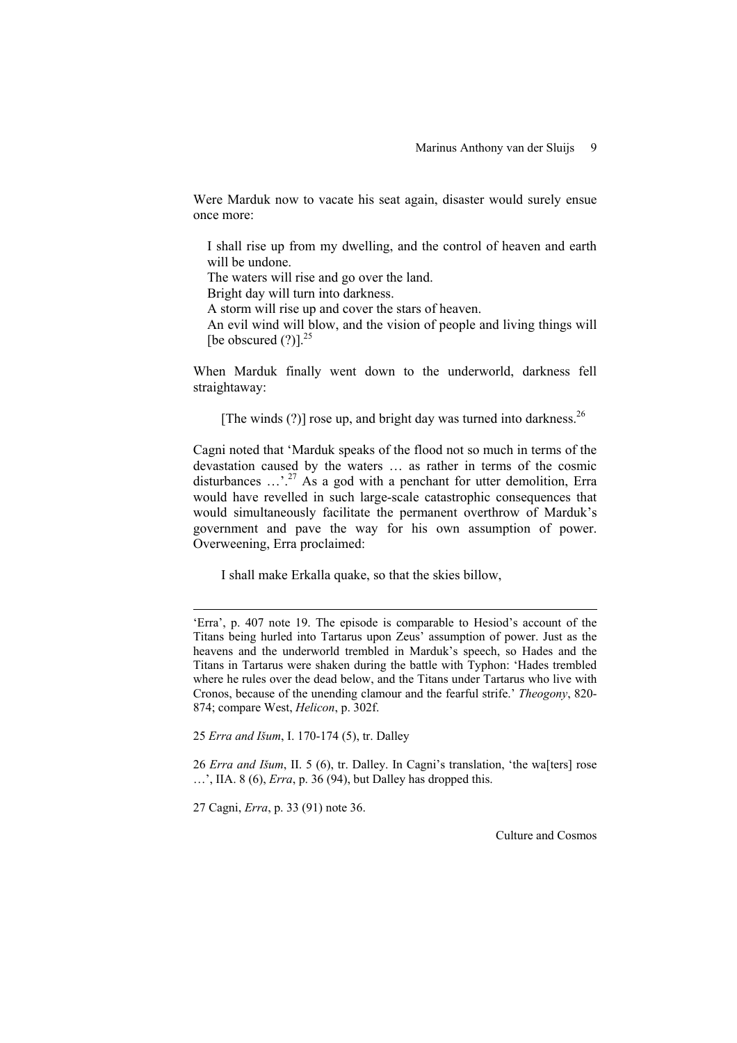Were Marduk now to vacate his seat again, disaster would surely ensue once more:

I shall rise up from my dwelling, and the control of heaven and earth will be undone.

The waters will rise and go over the land.

Bright day will turn into darkness.

A storm will rise up and cover the stars of heaven.

An evil wind will blow, and the vision of people and living things will [be obscured  $(?)$ ].<sup>25</sup>

When Marduk finally went down to the underworld, darkness fell straightaway:

[The winds  $(?)$ ] rose up, and bright day was turned into darkness.<sup>26</sup>

Cagni noted that 'Marduk speaks of the flood not so much in terms of the devastation caused by the waters … as rather in terms of the cosmic disturbances  $\ldots$ .<sup>27</sup> As a god with a penchant for utter demolition, Erra would have revelled in such large-scale catastrophic consequences that would simultaneously facilitate the permanent overthrow of Marduk's government and pave the way for his own assumption of power. Overweening, Erra proclaimed:

I shall make Erkalla quake, so that the skies billow,

25 *Erra and Išum*, I. 170-174 (5), tr. Dalley

26 *Erra and Išum*, II. 5 (6), tr. Dalley. In Cagni's translation, 'the wa[ters] rose …', IIA. 8 (6), *Erra*, p. 36 (94), but Dalley has dropped this.

27 Cagni, *Erra*, p. 33 (91) note 36.

-

<sup>&#</sup>x27;Erra', p. 407 note 19. The episode is comparable to Hesiod's account of the Titans being hurled into Tartarus upon Zeus' assumption of power. Just as the heavens and the underworld trembled in Marduk's speech, so Hades and the Titans in Tartarus were shaken during the battle with Typhon: 'Hades trembled where he rules over the dead below, and the Titans under Tartarus who live with Cronos, because of the unending clamour and the fearful strife.' *Theogony*, 820- 874; compare West, *Helicon*, p. 302f.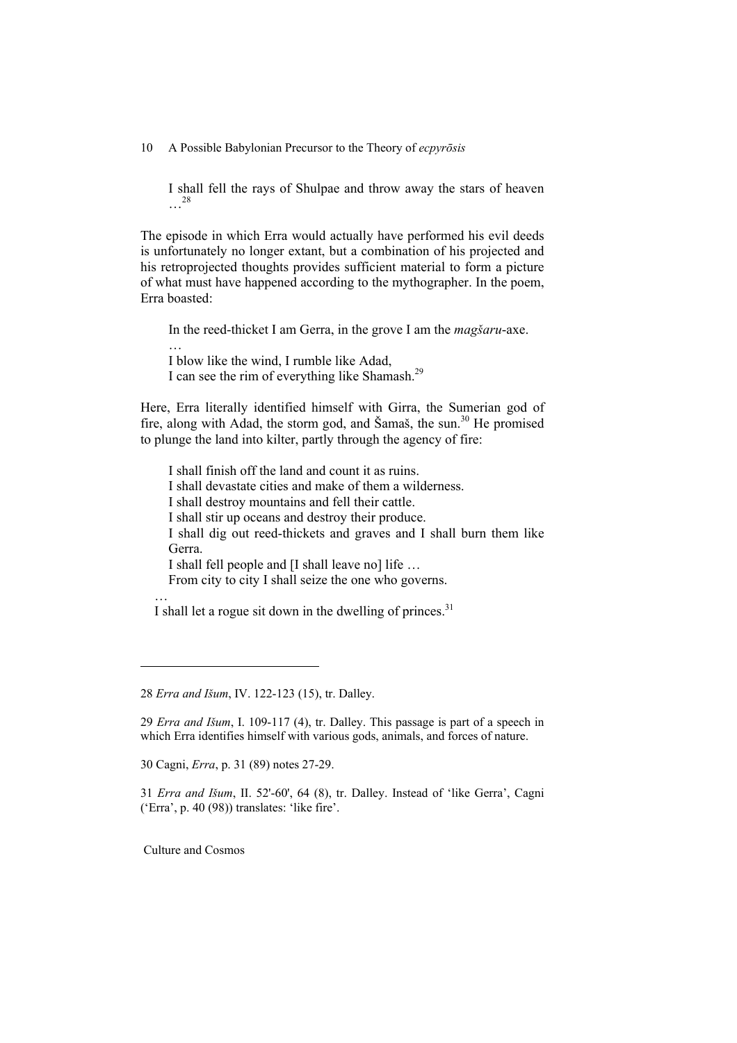I shall fell the rays of Shulpae and throw away the stars of heaven …28

The episode in which Erra would actually have performed his evil deeds is unfortunately no longer extant, but a combination of his projected and his retroprojected thoughts provides sufficient material to form a picture of what must have happened according to the mythographer. In the poem, Erra boasted:

In the reed-thicket I am Gerra, in the grove I am the *magšaru*-axe.

I blow like the wind, I rumble like Adad, I can see the rim of everything like Shamash.29

Here, Erra literally identified himself with Girra, the Sumerian god of fire, along with Adad, the storm god, and Šamaš, the sun.<sup>30</sup> He promised to plunge the land into kilter, partly through the agency of fire:

I shall finish off the land and count it as ruins. I shall devastate cities and make of them a wilderness. I shall destroy mountains and fell their cattle. I shall stir up oceans and destroy their produce. I shall dig out reed-thickets and graves and I shall burn them like Gerra. I shall fell people and [I shall leave no] life … From city to city I shall seize the one who governs. …

I shall let a rogue sit down in the dwelling of princes.<sup>31</sup>

30 Cagni, *Erra*, p. 31 (89) notes 27-29.

31 *Erra and Išum*, II. 52'-60', 64 (8), tr. Dalley. Instead of 'like Gerra', Cagni ('Erra', p. 40 (98)) translates: 'like fire'.

Culture and Cosmos

l

…

<sup>28</sup> *Erra and Išum*, IV. 122-123 (15), tr. Dalley.

<sup>29</sup> *Erra and Išum*, I. 109-117 (4), tr. Dalley. This passage is part of a speech in which Erra identifies himself with various gods, animals, and forces of nature.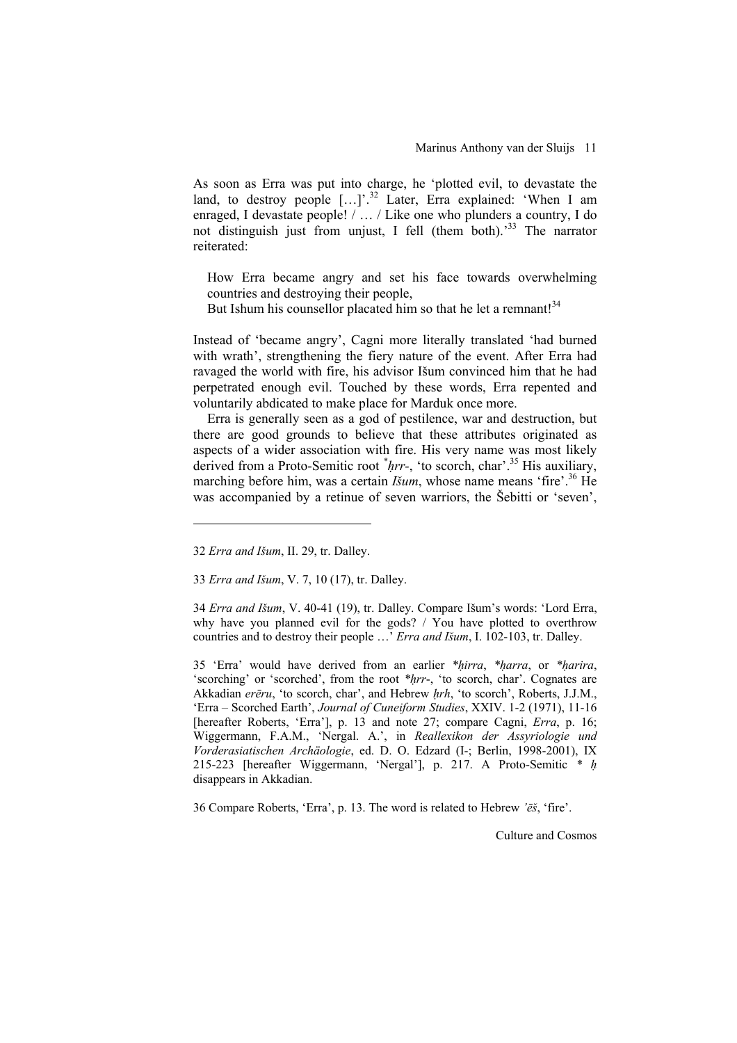As soon as Erra was put into charge, he 'plotted evil, to devastate the land, to destroy people  $[...]$ <sup>32</sup> Later, Erra explained: 'When I am enraged, I devastate people! / … / Like one who plunders a country, I do not distinguish just from unjust, I fell (them both).<sup>33</sup> The narrator reiterated:

How Erra became angry and set his face towards overwhelming countries and destroying their people,

But Ishum his counsellor placated him so that he let a remnant!<sup>34</sup>

Instead of 'became angry', Cagni more literally translated 'had burned with wrath', strengthening the fiery nature of the event. After Erra had ravaged the world with fire, his advisor Išum convinced him that he had perpetrated enough evil. Touched by these words, Erra repented and voluntarily abdicated to make place for Marduk once more.

Erra is generally seen as a god of pestilence, war and destruction, but there are good grounds to believe that these attributes originated as aspects of a wider association with fire. His very name was most likely derived from a Proto-Semitic root *\* hrr-*, 'to scorch, char'.35 His auxiliary, marching before him, was a certain *Išum*, whose name means 'fire'.<sup>36</sup> He was accompanied by a retinue of seven warriors, the Šebitti or 'seven',

l

33 *Erra and Išum*, V. 7, 10 (17), tr. Dalley.

34 *Erra and Išum*, V. 40-41 (19), tr. Dalley. Compare Išum's words: 'Lord Erra, why have you planned evil for the gods? / You have plotted to overthrow countries and to destroy their people …' *Erra and Išum*, I. 102-103, tr. Dalley.

35 'Erra' would have derived from an earlier *\*hirra*, *\*harra*, or *\*harira*, 'scorching' or 'scorched', from the root *\*hrr*-, 'to scorch, char'. Cognates are Akkadian *erēru*, 'to scorch, char', and Hebrew *hrh*, 'to scorch', Roberts, J.J.M., 'Erra – Scorched Earth', *Journal of Cuneiform Studies*, XXIV. 1-2 (1971), 11-16 [hereafter Roberts, 'Erra'], p. 13 and note 27; compare Cagni, *Erra*, p. 16; Wiggermann, F.A.M., 'Nergal. A.', in *Reallexikon der Assyriologie und Vorderasiatischen Archäologie*, ed. D. O. Edzard (I-; Berlin, 1998-2001), IX 215-223 [hereafter Wiggermann, 'Nergal'], p. 217. A Proto-Semitic *\* h* disappears in Akkadian.

36 Compare Roberts, 'Erra', p. 13. The word is related to Hebrew *'ēš*, 'fire'.

<sup>32</sup> *Erra and Išum*, II. 29, tr. Dalley.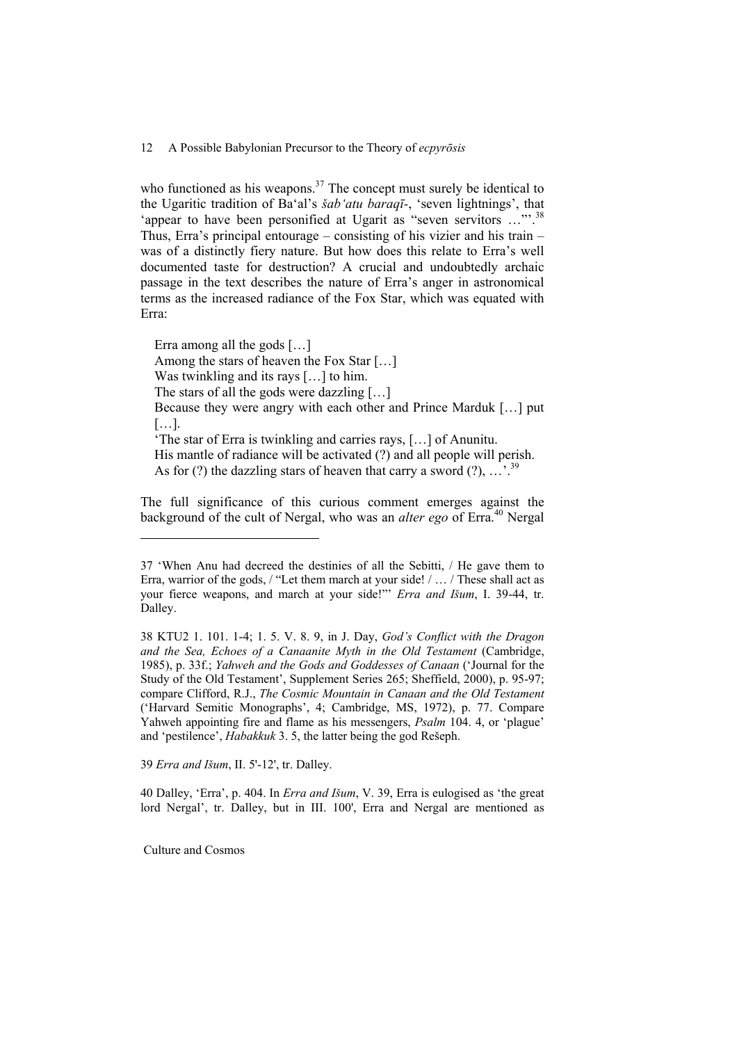who functioned as his weapons. $37$  The concept must surely be identical to the Ugaritic tradition of Ba'al's *šab'atu baraqī-*, 'seven lightnings', that 'appear to have been personified at Ugarit as "seven servitors …"'.38 Thus, Erra's principal entourage – consisting of his vizier and his train – was of a distinctly fiery nature. But how does this relate to Erra's well documented taste for destruction? A crucial and undoubtedly archaic passage in the text describes the nature of Erra's anger in astronomical terms as the increased radiance of the Fox Star, which was equated with Erra:

Erra among all the gods […] Among the stars of heaven the Fox Star […] Was twinkling and its rays […] to him. The stars of all the gods were dazzling […] Because they were angry with each other and Prince Marduk […] put […]. 'The star of Erra is twinkling and carries rays, […] of Anunitu. His mantle of radiance will be activated (?) and all people will perish. As for (?) the dazzling stars of heaven that carry a sword (?),  $\ldots$ ,  $\frac{39}{9}$ 

The full significance of this curious comment emerges against the background of the cult of Nergal, who was an *alter ego* of Erra.<sup>40</sup> Nergal

39 *Erra and Išum*, II. 5'-12', tr. Dalley.

40 Dalley, 'Erra', p. 404. In *Erra and Išum*, V. 39, Erra is eulogised as 'the great lord Nergal', tr. Dalley, but in III. 100', Erra and Nergal are mentioned as

Culture and Cosmos

<sup>37 &#</sup>x27;When Anu had decreed the destinies of all the Sebitti, / He gave them to Erra, warrior of the gods, / "Let them march at your side! / … / These shall act as your fierce weapons, and march at your side!"' *Erra and Išum*, I. 39-44, tr. Dalley.

<sup>38</sup> KTU2 1. 101. 1-4; 1. 5. V. 8. 9, in J. Day, *God's Conflict with the Dragon and the Sea, Echoes of a Canaanite Myth in the Old Testament* (Cambridge, 1985), p. 33f.; *Yahweh and the Gods and Goddesses of Canaan* ('Journal for the Study of the Old Testament', Supplement Series 265; Sheffield, 2000), p. 95-97; compare Clifford, R.J., *The Cosmic Mountain in Canaan and the Old Testament* ('Harvard Semitic Monographs', 4; Cambridge, MS, 1972), p. 77. Compare Yahweh appointing fire and flame as his messengers, *Psalm* 104. 4, or 'plague' and 'pestilence', *Habakkuk* 3. 5, the latter being the god Rešeph.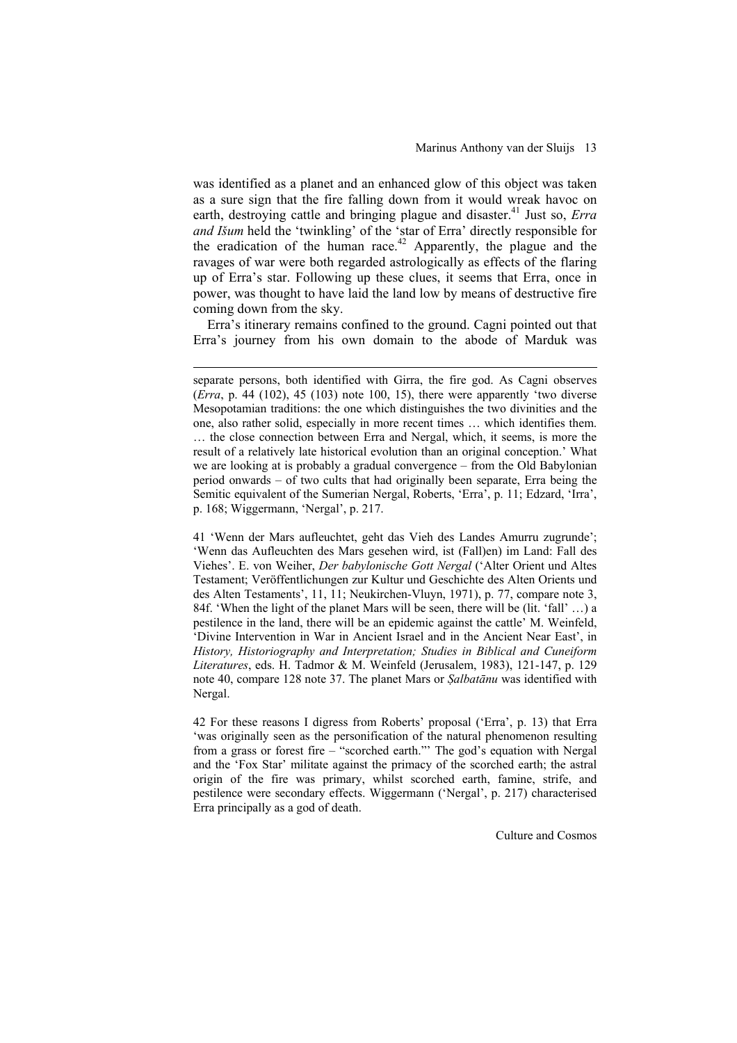was identified as a planet and an enhanced glow of this object was taken as a sure sign that the fire falling down from it would wreak havoc on earth, destroying cattle and bringing plague and disaster.<sup>41</sup> Just so, *Erra and Išum* held the 'twinkling' of the 'star of Erra' directly responsible for the eradication of the human race.<sup>42</sup> Apparently, the plague and the ravages of war were both regarded astrologically as effects of the flaring up of Erra's star. Following up these clues, it seems that Erra, once in power, was thought to have laid the land low by means of destructive fire coming down from the sky.

Erra's itinerary remains confined to the ground. Cagni pointed out that Erra's journey from his own domain to the abode of Marduk was

-

41 'Wenn der Mars aufleuchtet, geht das Vieh des Landes Amurru zugrunde'; 'Wenn das Aufleuchten des Mars gesehen wird, ist (Fall)en) im Land: Fall des Viehes'. E. von Weiher, *Der babylonische Gott Nergal* ('Alter Orient und Altes Testament; Veröffentlichungen zur Kultur und Geschichte des Alten Orients und des Alten Testaments', 11, 11; Neukirchen-Vluyn, 1971), p. 77, compare note 3, 84f. 'When the light of the planet Mars will be seen, there will be (lit. 'fall' …) a pestilence in the land, there will be an epidemic against the cattle' M. Weinfeld, 'Divine Intervention in War in Ancient Israel and in the Ancient Near East', in *History, Historiography and Interpretation; Studies in Biblical and Cuneiform Literatures*, eds. H. Tadmor & M. Weinfeld (Jerusalem, 1983), 121-147, p. 129 note 40, compare 128 note 37. The planet Mars or *Salbatānu* was identified with Nergal.

42 For these reasons I digress from Roberts' proposal ('Erra', p. 13) that Erra 'was originally seen as the personification of the natural phenomenon resulting from a grass or forest fire – "scorched earth."' The god's equation with Nergal and the 'Fox Star' militate against the primacy of the scorched earth; the astral origin of the fire was primary, whilst scorched earth, famine, strife, and pestilence were secondary effects. Wiggermann ('Nergal', p. 217) characterised Erra principally as a god of death.

separate persons, both identified with Girra, the fire god. As Cagni observes (*Erra*, p. 44 (102), 45 (103) note 100, 15), there were apparently 'two diverse Mesopotamian traditions: the one which distinguishes the two divinities and the one, also rather solid, especially in more recent times … which identifies them. … the close connection between Erra and Nergal, which, it seems, is more the result of a relatively late historical evolution than an original conception.' What we are looking at is probably a gradual convergence – from the Old Babylonian period onwards – of two cults that had originally been separate, Erra being the Semitic equivalent of the Sumerian Nergal, Roberts, 'Erra', p. 11; Edzard, 'Irra', p. 168; Wiggermann, 'Nergal', p. 217.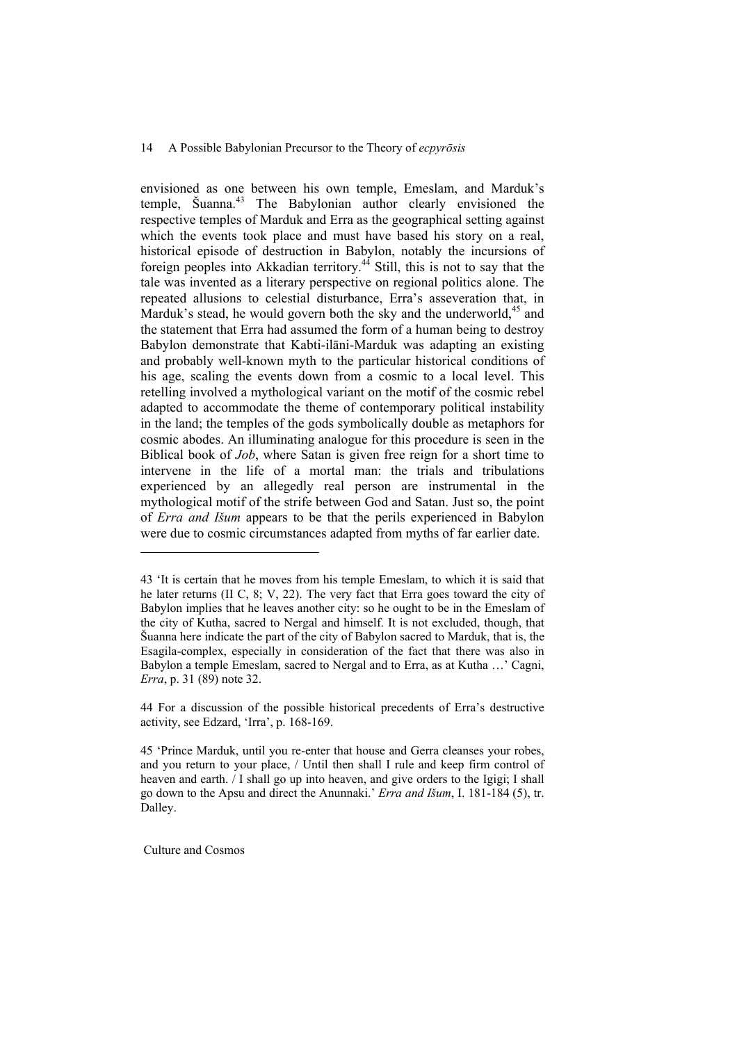envisioned as one between his own temple, Emeslam, and Marduk's temple, Šuanna.43 The Babylonian author clearly envisioned the respective temples of Marduk and Erra as the geographical setting against which the events took place and must have based his story on a real, historical episode of destruction in Babylon, notably the incursions of foreign peoples into Akkadian territory.<sup>44</sup> Still, this is not to say that the tale was invented as a literary perspective on regional politics alone. The repeated allusions to celestial disturbance, Erra's asseveration that, in Marduk's stead, he would govern both the sky and the underworld,  $45$  and the statement that Erra had assumed the form of a human being to destroy Babylon demonstrate that Kabti-ilāni-Marduk was adapting an existing and probably well-known myth to the particular historical conditions of his age, scaling the events down from a cosmic to a local level. This retelling involved a mythological variant on the motif of the cosmic rebel adapted to accommodate the theme of contemporary political instability in the land; the temples of the gods symbolically double as metaphors for cosmic abodes. An illuminating analogue for this procedure is seen in the Biblical book of *Job*, where Satan is given free reign for a short time to intervene in the life of a mortal man: the trials and tribulations experienced by an allegedly real person are instrumental in the mythological motif of the strife between God and Satan. Just so, the point of *Erra and Išum* appears to be that the perils experienced in Babylon were due to cosmic circumstances adapted from myths of far earlier date.

Culture and Cosmos

<sup>43 &#</sup>x27;It is certain that he moves from his temple Emeslam, to which it is said that he later returns (II C, 8; V, 22). The very fact that Erra goes toward the city of Babylon implies that he leaves another city: so he ought to be in the Emeslam of the city of Kutha, sacred to Nergal and himself. It is not excluded, though, that Šuanna here indicate the part of the city of Babylon sacred to Marduk, that is, the Esagila-complex, especially in consideration of the fact that there was also in Babylon a temple Emeslam, sacred to Nergal and to Erra, as at Kutha …' Cagni, *Erra*, p. 31 (89) note 32.

<sup>44</sup> For a discussion of the possible historical precedents of Erra's destructive activity, see Edzard, 'Irra', p. 168-169.

<sup>45 &#</sup>x27;Prince Marduk, until you re-enter that house and Gerra cleanses your robes, and you return to your place, / Until then shall I rule and keep firm control of heaven and earth. / I shall go up into heaven, and give orders to the Igigi; I shall go down to the Apsu and direct the Anunnaki.' *Erra and Išum*, I. 181-184 (5), tr. Dalley.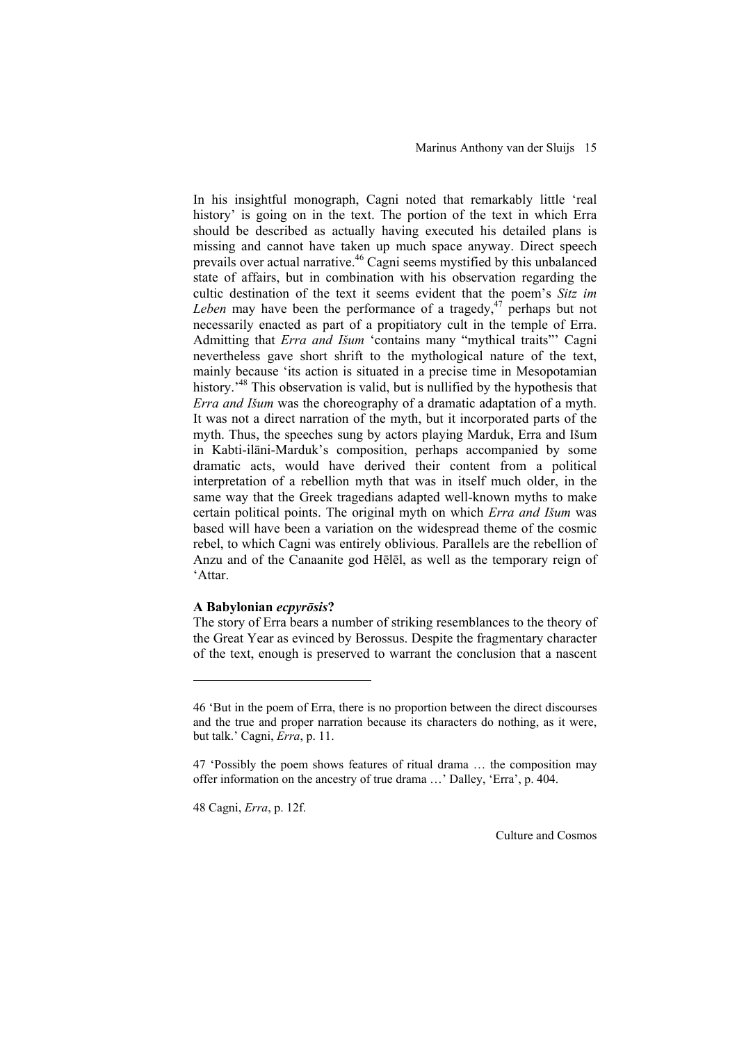In his insightful monograph, Cagni noted that remarkably little 'real history' is going on in the text. The portion of the text in which Erra should be described as actually having executed his detailed plans is missing and cannot have taken up much space anyway. Direct speech prevails over actual narrative.<sup>46</sup> Cagni seems mystified by this unbalanced state of affairs, but in combination with his observation regarding the cultic destination of the text it seems evident that the poem's *Sitz im Leben* may have been the performance of a tragedy,<sup>47</sup> perhaps but not necessarily enacted as part of a propitiatory cult in the temple of Erra. Admitting that *Erra and Išum* 'contains many "mythical traits"' Cagni nevertheless gave short shrift to the mythological nature of the text, mainly because 'its action is situated in a precise time in Mesopotamian history.<sup>48</sup> This observation is valid, but is nullified by the hypothesis that *Erra and Išum* was the choreography of a dramatic adaptation of a myth. It was not a direct narration of the myth, but it incorporated parts of the myth. Thus, the speeches sung by actors playing Marduk, Erra and Išum in Kabti-ilāni-Marduk's composition, perhaps accompanied by some dramatic acts, would have derived their content from a political interpretation of a rebellion myth that was in itself much older, in the same way that the Greek tragedians adapted well-known myths to make certain political points. The original myth on which *Erra and Išum* was based will have been a variation on the widespread theme of the cosmic rebel, to which Cagni was entirely oblivious. Parallels are the rebellion of Anzu and of the Canaanite god Hēlēl, as well as the temporary reign of 'Attar.

# **A Babylonian** *ecpyrōsis***?**

The story of Erra bears a number of striking resemblances to the theory of the Great Year as evinced by Berossus. Despite the fragmentary character of the text, enough is preserved to warrant the conclusion that a nascent

48 Cagni, *Erra*, p. 12f.

l

<sup>46 &#</sup>x27;But in the poem of Erra, there is no proportion between the direct discourses and the true and proper narration because its characters do nothing, as it were, but talk.' Cagni, *Erra*, p. 11.

<sup>47 &#</sup>x27;Possibly the poem shows features of ritual drama … the composition may offer information on the ancestry of true drama …' Dalley, 'Erra', p. 404.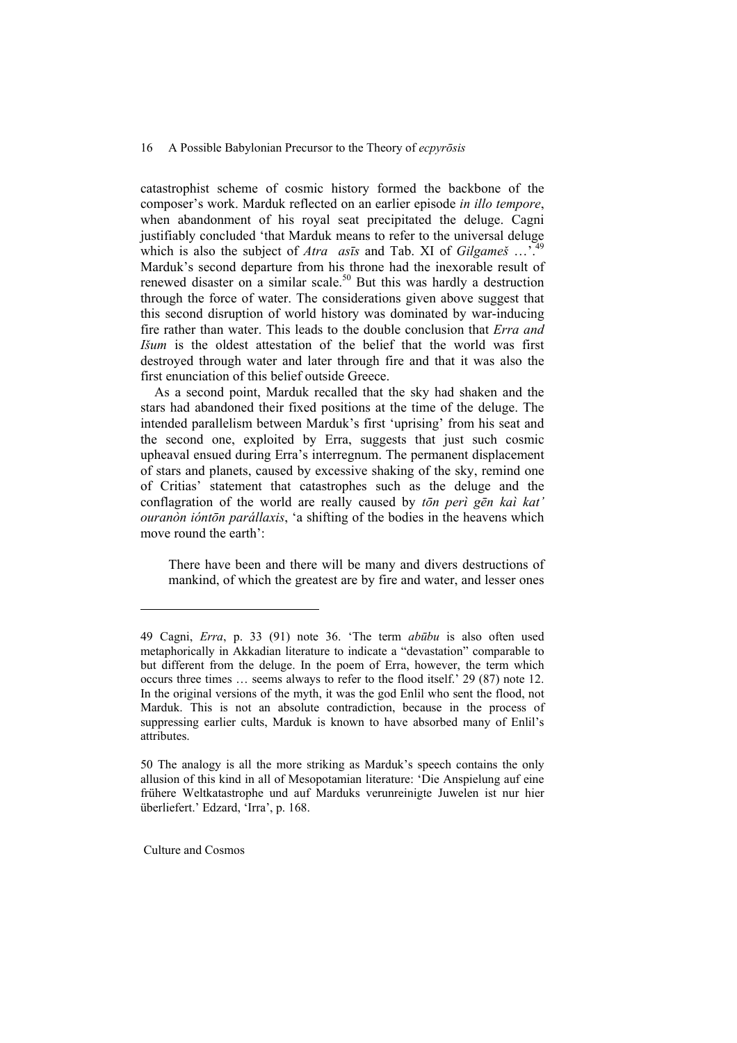catastrophist scheme of cosmic history formed the backbone of the composer's work. Marduk reflected on an earlier episode *in illo tempore*, when abandonment of his royal seat precipitated the deluge. Cagni justifiably concluded 'that Marduk means to refer to the universal deluge which is also the subject of *Atra asīs* and Tab. XI of *Gilgameš* ...<sup>749</sup> Marduk's second departure from his throne had the inexorable result of renewed disaster on a similar scale.<sup>50</sup> But this was hardly a destruction through the force of water. The considerations given above suggest that this second disruption of world history was dominated by war-inducing fire rather than water. This leads to the double conclusion that *Erra and Išum* is the oldest attestation of the belief that the world was first destroyed through water and later through fire and that it was also the first enunciation of this belief outside Greece.

As a second point, Marduk recalled that the sky had shaken and the stars had abandoned their fixed positions at the time of the deluge. The intended parallelism between Marduk's first 'uprising' from his seat and the second one, exploited by Erra, suggests that just such cosmic upheaval ensued during Erra's interregnum. The permanent displacement of stars and planets, caused by excessive shaking of the sky, remind one of Critias' statement that catastrophes such as the deluge and the conflagration of the world are really caused by *tōn perì gēn kaì kat' ouranòn ióntōn parállaxis*, 'a shifting of the bodies in the heavens which move round the earth'<sup>-</sup>

There have been and there will be many and divers destructions of mankind, of which the greatest are by fire and water, and lesser ones

Culture and Cosmos

<sup>49</sup> Cagni, *Erra*, p. 33 (91) note 36. 'The term *abūbu* is also often used metaphorically in Akkadian literature to indicate a "devastation" comparable to but different from the deluge. In the poem of Erra, however, the term which occurs three times … seems always to refer to the flood itself.' 29 (87) note 12. In the original versions of the myth, it was the god Enlil who sent the flood, not Marduk. This is not an absolute contradiction, because in the process of suppressing earlier cults, Marduk is known to have absorbed many of Enlil's attributes.

<sup>50</sup> The analogy is all the more striking as Marduk's speech contains the only allusion of this kind in all of Mesopotamian literature: 'Die Anspielung auf eine frühere Weltkatastrophe und auf Marduks verunreinigte Juwelen ist nur hier überliefert.' Edzard, 'Irra', p. 168.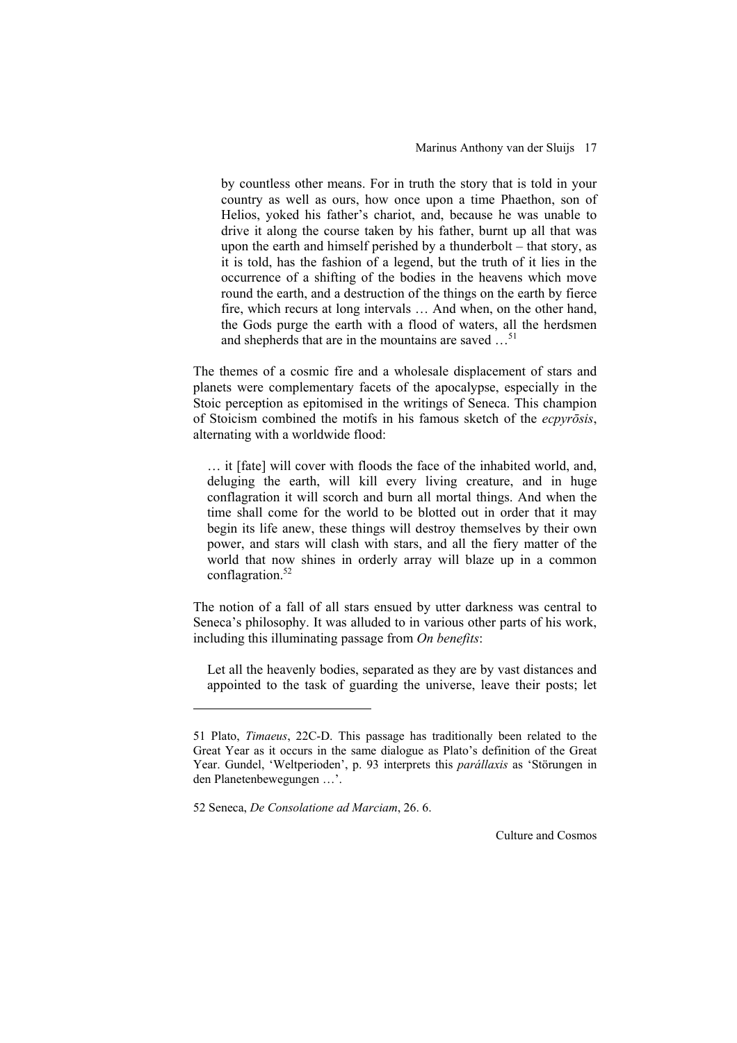by countless other means. For in truth the story that is told in your country as well as ours, how once upon a time Phaethon, son of Helios, yoked his father's chariot, and, because he was unable to drive it along the course taken by his father, burnt up all that was upon the earth and himself perished by a thunderbolt – that story, as it is told, has the fashion of a legend, but the truth of it lies in the occurrence of a shifting of the bodies in the heavens which move round the earth, and a destruction of the things on the earth by fierce fire, which recurs at long intervals … And when, on the other hand, the Gods purge the earth with a flood of waters, all the herdsmen and shepherds that are in the mountains are saved ...<sup>51</sup>

The themes of a cosmic fire and a wholesale displacement of stars and planets were complementary facets of the apocalypse, especially in the Stoic perception as epitomised in the writings of Seneca. This champion of Stoicism combined the motifs in his famous sketch of the *ecpyrōsis*, alternating with a worldwide flood:

… it [fate] will cover with floods the face of the inhabited world, and, deluging the earth, will kill every living creature, and in huge conflagration it will scorch and burn all mortal things. And when the time shall come for the world to be blotted out in order that it may begin its life anew, these things will destroy themselves by their own power, and stars will clash with stars, and all the fiery matter of the world that now shines in orderly array will blaze up in a common conflagration.<sup>52</sup>

The notion of a fall of all stars ensued by utter darkness was central to Seneca's philosophy. It was alluded to in various other parts of his work, including this illuminating passage from *On benefits*:

Let all the heavenly bodies, separated as they are by vast distances and appointed to the task of guarding the universe, leave their posts; let

l

<sup>51</sup> Plato, *Timaeus*, 22C-D. This passage has traditionally been related to the Great Year as it occurs in the same dialogue as Plato's definition of the Great Year. Gundel, 'Weltperioden', p. 93 interprets this *parállaxis* as 'Störungen in den Planetenbewegungen …'.

<sup>52</sup> Seneca, *De Consolatione ad Marciam*, 26. 6.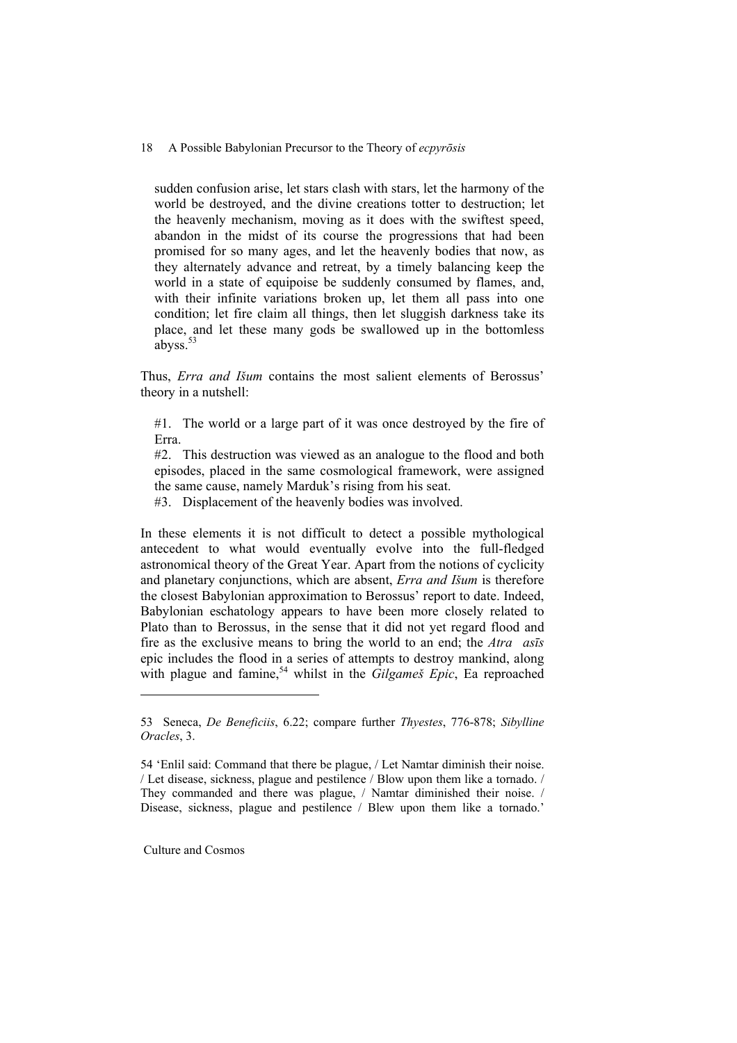sudden confusion arise, let stars clash with stars, let the harmony of the world be destroyed, and the divine creations totter to destruction; let the heavenly mechanism, moving as it does with the swiftest speed, abandon in the midst of its course the progressions that had been promised for so many ages, and let the heavenly bodies that now, as they alternately advance and retreat, by a timely balancing keep the world in a state of equipoise be suddenly consumed by flames, and, with their infinite variations broken up, let them all pass into one condition; let fire claim all things, then let sluggish darkness take its place, and let these many gods be swallowed up in the bottomless abyss. $53$ 

Thus, *Erra and Išum* contains the most salient elements of Berossus' theory in a nutshell:

#1. The world or a large part of it was once destroyed by the fire of Erra.

#2. This destruction was viewed as an analogue to the flood and both episodes, placed in the same cosmological framework, were assigned the same cause, namely Marduk's rising from his seat.

#3. Displacement of the heavenly bodies was involved.

In these elements it is not difficult to detect a possible mythological antecedent to what would eventually evolve into the full-fledged astronomical theory of the Great Year. Apart from the notions of cyclicity and planetary conjunctions, which are absent, *Erra and Išum* is therefore the closest Babylonian approximation to Berossus' report to date. Indeed, Babylonian eschatology appears to have been more closely related to Plato than to Berossus, in the sense that it did not yet regard flood and fire as the exclusive means to bring the world to an end; the *Atra asīs* epic includes the flood in a series of attempts to destroy mankind, along with plague and famine,<sup>54</sup> whilst in the *Gilgameš Epic*, Ea reproached

Culture and Cosmos

<sup>53</sup> Seneca, *De Beneficiis*, 6.22; compare further *Thyestes*, 776-878; *Sibylline Oracles*, 3.

<sup>54 &#</sup>x27;Enlil said: Command that there be plague, / Let Namtar diminish their noise. / Let disease, sickness, plague and pestilence / Blow upon them like a tornado. / They commanded and there was plague, / Namtar diminished their noise. / Disease, sickness, plague and pestilence / Blew upon them like a tornado.'